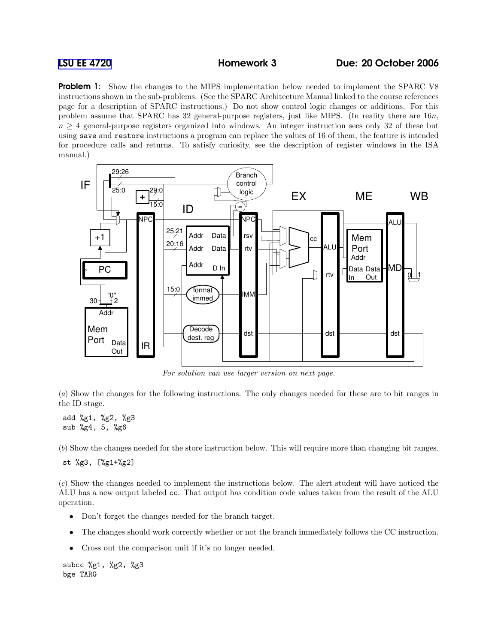**Problem 1:** Show the changes to the MIPS implementation below needed to implement the SPARC V8 instructions shown in the sub-problems. (See the SPARC Architecture Manual linked to the course references page for a description of SPARC instructions.) Do not show control logic changes or additions. For this problem assume that SPARC has 32 general-purpose registers, just like MIPS. (In reality there are 16n,  $n \geq 4$  general-purpose registers organized into windows. An integer instruction sees only 32 of these but using save and restore instructions a program can replace the values of 16 of them, the feature is intended for procedure calls and returns. To satisfy curiosity, see the description of register windows in the ISA manual.)



For solution can use larger version on next page.

(a) Show the changes for the following instructions. The only changes needed for these are to bit ranges in the ID stage.

add %g1, %g2, %g3 sub %g4, 5, %g6

(b) Show the changes needed for the store instruction below. This will require more than changing bit ranges.

st %g3, [%g1+%g2]

(c) Show the changes needed to implement the instructions below. The alert student will have noticed the ALU has a new output labeled cc. That output has condition code values taken from the result of the ALU operation.

- Don't forget the changes needed for the branch target.
- The changes should work correctly whether or not the branch immediately follows the CC instruction.
- Cross out the comparison unit if it's no longer needed.

subcc %g1, %g2, %g3 bge TARG